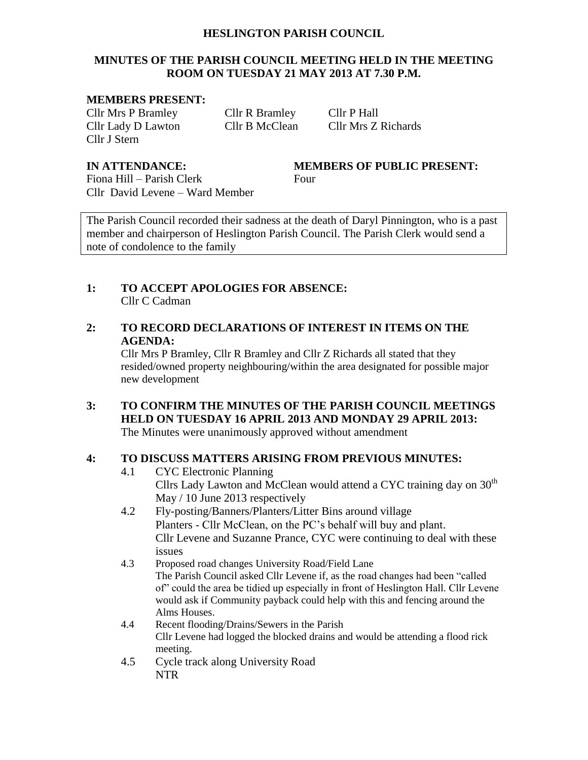#### **HESLINGTON PARISH COUNCIL**

# **MINUTES OF THE PARISH COUNCIL MEETING HELD IN THE MEETING ROOM ON TUESDAY 21 MAY 2013 AT 7.30 P.M.**

#### **MEMBERS PRESENT:**

Cllr Mrs P Bramley Cllr R Bramley Cllr P Hall Cllr J Stern

Cllr Lady D Lawton Cllr B McClean Cllr Mrs Z Richards

# **IN ATTENDANCE: MEMBERS OF PUBLIC PRESENT:**

Fiona Hill – Parish Clerk Four Cllr David Levene – Ward Member

The Parish Council recorded their sadness at the death of Daryl Pinnington, who is a past member and chairperson of Heslington Parish Council. The Parish Clerk would send a note of condolence to the family

# **1: TO ACCEPT APOLOGIES FOR ABSENCE:** Cllr C Cadman

# **2: TO RECORD DECLARATIONS OF INTEREST IN ITEMS ON THE AGENDA:**

Cllr Mrs P Bramley, Cllr R Bramley and Cllr Z Richards all stated that they resided/owned property neighbouring/within the area designated for possible major new development

# **3: TO CONFIRM THE MINUTES OF THE PARISH COUNCIL MEETINGS HELD ON TUESDAY 16 APRIL 2013 AND MONDAY 29 APRIL 2013:**

The Minutes were unanimously approved without amendment

# **4: TO DISCUSS MATTERS ARISING FROM PREVIOUS MINUTES:**

- 4.1 CYC Electronic Planning Cllrs Lady Lawton and McClean would attend a CYC training day on 30<sup>th</sup> May / 10 June 2013 respectively
- 4.2 Fly-posting/Banners/Planters/Litter Bins around village Planters - Cllr McClean, on the PC's behalf will buy and plant. Cllr Levene and Suzanne Prance, CYC were continuing to deal with these issues
- 4.3 Proposed road changes University Road/Field Lane The Parish Council asked Cllr Levene if, as the road changes had been "called of" could the area be tidied up especially in front of Heslington Hall. Cllr Levene would ask if Community payback could help with this and fencing around the Alms Houses.
- 4.4 Recent flooding/Drains/Sewers in the Parish Cllr Levene had logged the blocked drains and would be attending a flood rick meeting.
- 4.5 Cycle track along University Road NTR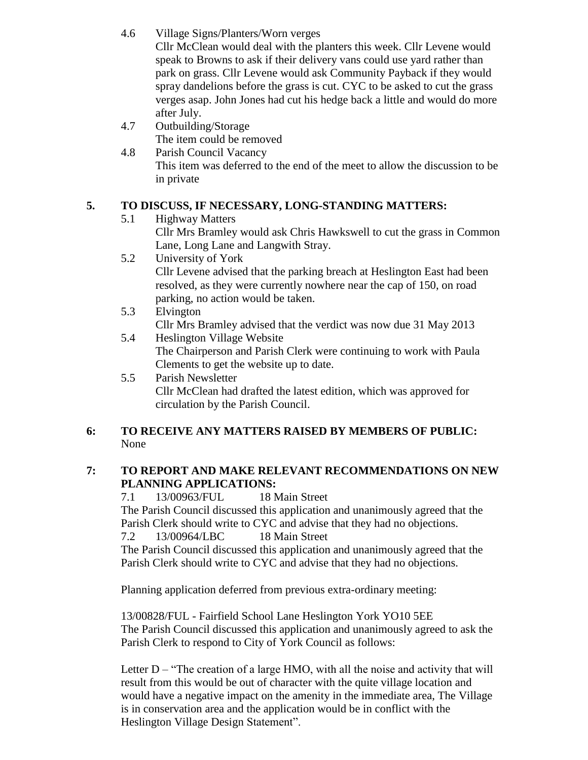4.6 Village Signs/Planters/Worn verges

Cllr McClean would deal with the planters this week. Cllr Levene would speak to Browns to ask if their delivery vans could use yard rather than park on grass. Cllr Levene would ask Community Payback if they would spray dandelions before the grass is cut. CYC to be asked to cut the grass verges asap. John Jones had cut his hedge back a little and would do more after July.

- 4.7 Outbuilding/Storage The item could be removed
- 4.8 Parish Council Vacancy This item was deferred to the end of the meet to allow the discussion to be in private

# **5. TO DISCUSS, IF NECESSARY, LONG-STANDING MATTERS:**

- 5.1 Highway Matters Cllr Mrs Bramley would ask Chris Hawkswell to cut the grass in Common Lane, Long Lane and Langwith Stray.
- 5.2 University of York Cllr Levene advised that the parking breach at Heslington East had been resolved, as they were currently nowhere near the cap of 150, on road parking, no action would be taken.
- 5.3 Elvington Cllr Mrs Bramley advised that the verdict was now due 31 May 2013
- 5.4 Heslington Village Website The Chairperson and Parish Clerk were continuing to work with Paula Clements to get the website up to date.
- 5.5 Parish Newsletter Cllr McClean had drafted the latest edition, which was approved for circulation by the Parish Council.

# **6: TO RECEIVE ANY MATTERS RAISED BY MEMBERS OF PUBLIC:** None

# **7: TO REPORT AND MAKE RELEVANT RECOMMENDATIONS ON NEW PLANNING APPLICATIONS:**

7.1 13/00963/FUL 18 Main Street The Parish Council discussed this application and unanimously agreed that the Parish Clerk should write to CYC and advise that they had no objections. 7.2 13/00964/LBC 18 Main Street

The Parish Council discussed this application and unanimously agreed that the Parish Clerk should write to CYC and advise that they had no objections.

Planning application deferred from previous extra-ordinary meeting:

13/00828/FUL - Fairfield School Lane Heslington York YO10 5EE The Parish Council discussed this application and unanimously agreed to ask the Parish Clerk to respond to City of York Council as follows:

Letter  $D$  – "The creation of a large HMO, with all the noise and activity that will result from this would be out of character with the quite village location and would have a negative impact on the amenity in the immediate area, The Village is in conservation area and the application would be in conflict with the Heslington Village Design Statement".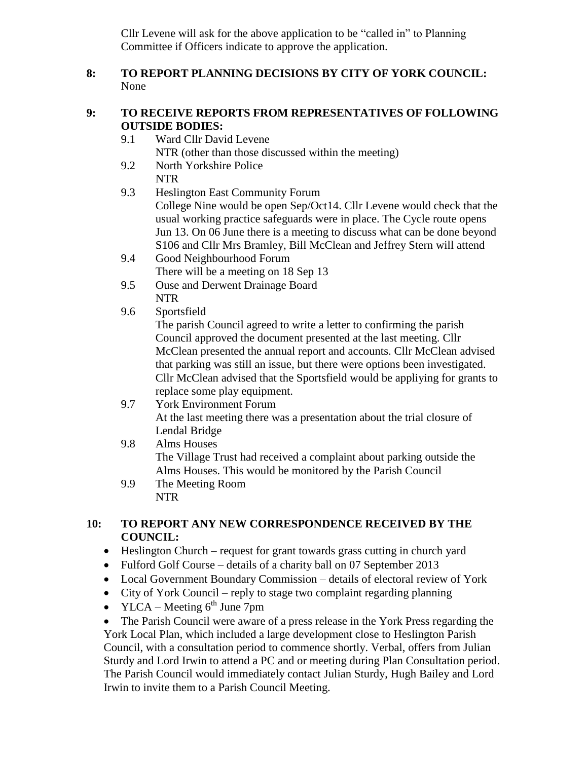Cllr Levene will ask for the above application to be "called in" to Planning Committee if Officers indicate to approve the application.

# **8: TO REPORT PLANNING DECISIONS BY CITY OF YORK COUNCIL:** None

# **9: TO RECEIVE REPORTS FROM REPRESENTATIVES OF FOLLOWING OUTSIDE BODIES:**

- 9.1 Ward Cllr David Levene NTR (other than those discussed within the meeting)
- 9.2 North Yorkshire Police NTR
- 9.3 Heslington East Community Forum College Nine would be open Sep/Oct14. Cllr Levene would check that the usual working practice safeguards were in place. The Cycle route opens Jun 13. On 06 June there is a meeting to discuss what can be done beyond S106 and Cllr Mrs Bramley, Bill McClean and Jeffrey Stern will attend
- 9.4 Good Neighbourhood Forum There will be a meeting on 18 Sep 13
- 9.5 Ouse and Derwent Drainage Board NTR
- 9.6 Sportsfield

The parish Council agreed to write a letter to confirming the parish Council approved the document presented at the last meeting. Cllr McClean presented the annual report and accounts. Cllr McClean advised that parking was still an issue, but there were options been investigated. Cllr McClean advised that the Sportsfield would be appliying for grants to replace some play equipment.

- 9.7 York Environment Forum At the last meeting there was a presentation about the trial closure of Lendal Bridge
- 9.8 Alms Houses The Village Trust had received a complaint about parking outside the Alms Houses. This would be monitored by the Parish Council
- 9.9 The Meeting Room NTR

# **10: TO REPORT ANY NEW CORRESPONDENCE RECEIVED BY THE COUNCIL:**

- Heslington Church request for grant towards grass cutting in church yard
- Fulford Golf Course details of a charity ball on 07 September 2013
- Local Government Boundary Commission details of electoral review of York
- City of York Council reply to stage two complaint regarding planning
- YLCA Meeting  $6^{th}$  June 7pm

 The Parish Council were aware of a press release in the York Press regarding the York Local Plan, which included a large development close to Heslington Parish Council, with a consultation period to commence shortly. Verbal, offers from Julian Sturdy and Lord Irwin to attend a PC and or meeting during Plan Consultation period. The Parish Council would immediately contact Julian Sturdy, Hugh Bailey and Lord Irwin to invite them to a Parish Council Meeting.